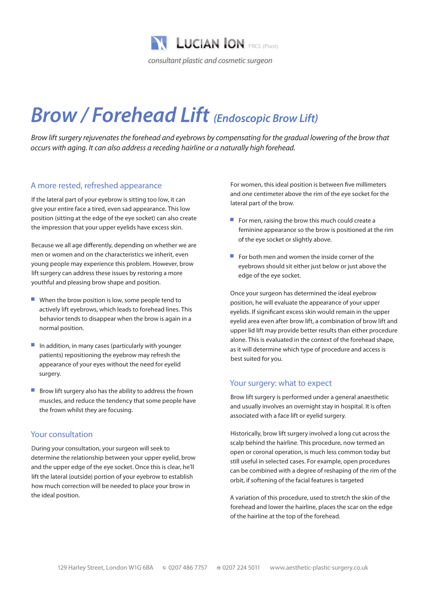

# *Brow / Forehead Lift (Endoscopic Brow Lift)*

*Brow lift surgery rejuvenates the forehead and eyebrows by compensating for the gradual lowering of the brow that occurs with aging. It can also address a receding hairline or a naturally high forehead.*

### A more rested, refreshed appearance

If the lateral part of your eyebrow is sitting too low, it can give your entire face a tired, even sad appearance. This low position (sitting at the edge of the eye socket) can also create the impression that your upper eyelids have excess skin.

Because we all age differently, depending on whether we are men or women and on the characteristics we inherit, even young people may experience this problem. However, brow lift surgery can address these issues by restoring a more youthful and pleasing brow shape and position.

- $\blacksquare$  When the brow position is low, some people tend to actively lift eyebrows, which leads to forehead lines. This behavior tends to disappear when the brow is again in a normal position.
- $\blacksquare$  In addition, in many cases (particularly with younger patients) repositioning the eyebrow may refresh the appearance of your eyes without the need for eyelid surgery.
- Brow lift surgery also has the ability to address the frown muscles, and reduce the tendency that some people have the frown whilst they are focusing.

#### Your consultation

During your consultation, your surgeon will seek to determine the relationship between your upper eyelid, brow and the upper edge of the eye socket. Once this is clear, he'll lift the lateral (outside) portion of your eyebrow to establish how much correction will be needed to place your brow in the ideal position.

For women, this ideal position is between five millimeters and one centimeter above the rim of the eye socket for the lateral part of the brow.

- $\blacksquare$  For men, raising the brow this much could create a feminine appearance so the brow is positioned at the rim of the eye socket or slightly above.
- $\blacksquare$  For both men and women the inside corner of the eyebrows should sit either just below or just above the edge of the eye socket.

Once your surgeon has determined the ideal eyebrow position, he will evaluate the appearance of your upper eyelids. If significant excess skin would remain in the upper eyelid area even after brow lift, a combination of brow lift and upper lid lift may provide better results than either procedure alone. This is evaluated in the context of the forehead shape, as it will determine which type of procedure and access is best suited for you.

#### Your surgery: what to expect

Brow lift surgery is performed under a general anaesthetic and usually involves an overnight stay in hospital. It is often associated with a face lift or eyelid surgery.

Historically, brow lift surgery involved a long cut across the scalp behind the hairline. This procedure, now termed an open or coronal operation, is much less common today but still useful in selected cases. For example, open procedures can be combined with a degree of reshaping of the rim of the orbit, if softening of the facial features is targeted

A variation of this procedure, used to stretch the skin of the forehead and lower the hairline, places the scar on the edge of the hairline at the top of the forehead.